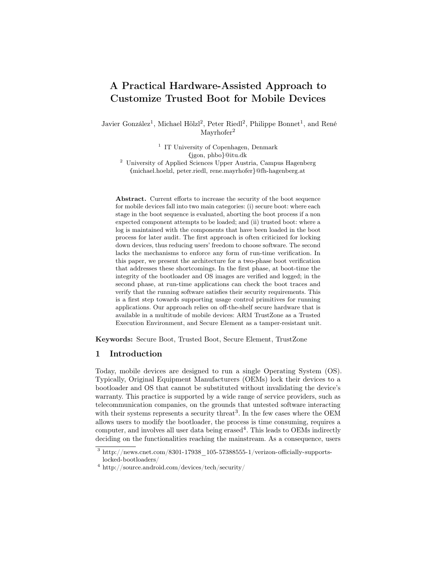# A Practical Hardware-Assisted Approach to Customize Trusted Boot for Mobile Devices

Javier González<sup>1</sup>, Michael Hölzl<sup>2</sup>, Peter Riedl<sup>2</sup>, Philippe Bonnet<sup>1</sup>, and René Mayrhofer<sup>2</sup>

> <sup>1</sup> IT University of Copenhagen, Denmark {jgon, phbo}@itu.dk

<sup>2</sup> University of Applied Sciences Upper Austria, Campus Hagenberg {michael.hoelzl, peter.riedl, rene.mayrhofer}@fh-hagenberg.at

Abstract. Current efforts to increase the security of the boot sequence for mobile devices fall into two main categories: (i) secure boot: where each stage in the boot sequence is evaluated, aborting the boot process if a non expected component attempts to be loaded; and (ii) trusted boot: where a log is maintained with the components that have been loaded in the boot process for later audit. The first approach is often criticized for locking down devices, thus reducing users' freedom to choose software. The second lacks the mechanisms to enforce any form of run-time verification. In this paper, we present the architecture for a two-phase boot verification that addresses these shortcomings. In the first phase, at boot-time the integrity of the bootloader and OS images are verified and logged; in the second phase, at run-time applications can check the boot traces and verify that the running software satisfies their security requirements. This is a first step towards supporting usage control primitives for running applications. Our approach relies on off-the-shelf secure hardware that is available in a multitude of mobile devices: ARM TrustZone as a Trusted Execution Environment, and Secure Element as a tamper-resistant unit.

Keywords: Secure Boot, Trusted Boot, Secure Element, TrustZone

## 1 Introduction

Today, mobile devices are designed to run a single Operating System (OS). Typically, Original Equipment Manufacturers (OEMs) lock their devices to a bootloader and OS that cannot be substituted without invalidating the device's warranty. This practice is supported by a wide range of service providers, such as telecommunication companies, on the grounds that untested software interacting with their systems represents a security threat<sup>[3](#page-0-0)</sup>. In the few cases where the OEM allows users to modify the bootloader, the process is time consuming, requires a computer, and involves all user data being erased<sup>[4](#page-0-1)</sup>. This leads to OEMs indirectly deciding on the functionalities reaching the mainstream. As a consequence, users

<span id="page-0-0"></span> $^3$ [http://news.cnet.com/8301-17938\\_105-57388555-1/verizon-officially-supports](http://news.cnet.com/8301-17938_105-57388555-1/verizon-officially-supports-locked-bootloaders/)[locked-bootloaders/](http://news.cnet.com/8301-17938_105-57388555-1/verizon-officially-supports-locked-bootloaders/)

<span id="page-0-1"></span><sup>4</sup> <http://source.android.com/devices/tech/security/>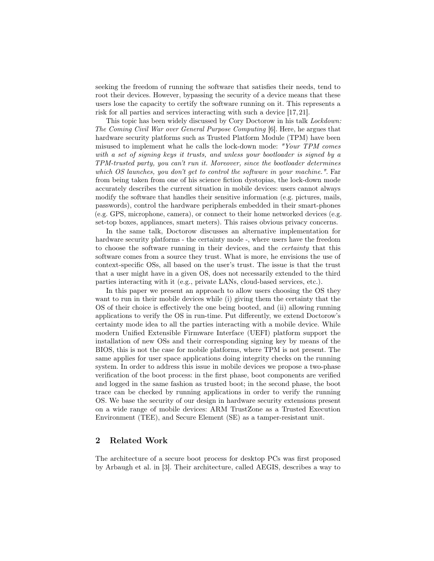seeking the freedom of running the software that satisfies their needs, tend to root their devices. However, bypassing the security of a device means that these users lose the capacity to certify the software running on it. This represents a risk for all parties and services interacting with such a device [\[17,](#page-12-0) [21\]](#page-12-1).

This topic has been widely discussed by Cory Doctorow in his talk Lockdown: The Coming Civil War over General Purpose Computing [\[6\]](#page-12-2). Here, he argues that hardware security platforms such as Trusted Platform Module (TPM) have been misused to implement what he calls the lock-down mode: "Your TPM comes with a set of signing keys it trusts, and unless your bootloader is signed by a TPM-trusted party, you can't run it. Moreover, since the bootloader determines which OS launches, you don't get to control the software in your machine.". Far from being taken from one of his science fiction dystopias, the lock-down mode accurately describes the current situation in mobile devices: users cannot always modify the software that handles their sensitive information (e.g. pictures, mails, passwords), control the hardware peripherals embedded in their smart-phones (e.g. GPS, microphone, camera), or connect to their home networked devices (e.g. set-top boxes, appliances, smart meters). This raises obvious privacy concerns.

In the same talk, Doctorow discusses an alternative implementation for hardware security platforms - the certainty mode -, where users have the freedom to choose the software running in their devices, and the certainty that this software comes from a source they trust. What is more, he envisions the use of context-specific OSs, all based on the user's trust. The issue is that the trust that a user might have in a given OS, does not necessarily extended to the third parties interacting with it (e.g., private LANs, cloud-based services, etc.).

In this paper we present an approach to allow users choosing the OS they want to run in their mobile devices while (i) giving them the certainty that the OS of their choice is effectively the one being booted, and (ii) allowing running applications to verify the OS in run-time. Put differently, we extend Doctorow's certainty mode idea to all the parties interacting with a mobile device. While modern Unified Extensible Firmware Interface (UEFI) platform support the installation of new OSs and their corresponding signing key by means of the BIOS, this is not the case for mobile platforms, where TPM is not present. The same applies for user space applications doing integrity checks on the running system. In order to address this issue in mobile devices we propose a two-phase verification of the boot process: in the first phase, boot components are verified and logged in the same fashion as trusted boot; in the second phase, the boot trace can be checked by running applications in order to verify the running OS. We base the security of our design in hardware security extensions present on a wide range of mobile devices: ARM TrustZone as a Trusted Execution Environment (TEE), and Secure Element (SE) as a tamper-resistant unit.

# 2 Related Work

The architecture of a secure boot process for desktop PCs was first proposed by Arbaugh et al. in [\[3\]](#page-11-0). Their architecture, called AEGIS, describes a way to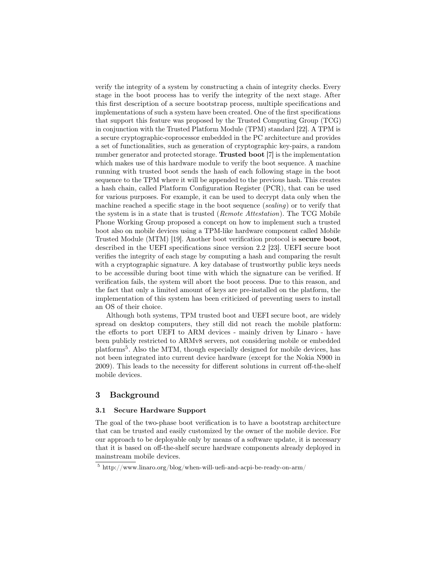verify the integrity of a system by constructing a chain of integrity checks. Every stage in the boot process has to verify the integrity of the next stage. After this first description of a secure bootstrap process, multiple specifications and implementations of such a system have been created. One of the first specifications that support this feature was proposed by the Trusted Computing Group (TCG) in conjunction with the Trusted Platform Module (TPM) standard [\[22\]](#page-12-3). A TPM is a secure cryptographic-coprocessor embedded in the PC architecture and provides a set of functionalities, such as generation of cryptographic key-pairs, a random number generator and protected storage. Trusted boot [\[7\]](#page-12-4) is the implementation which makes use of this hardware module to verify the boot sequence. A machine running with trusted boot sends the hash of each following stage in the boot sequence to the TPM where it will be appended to the previous hash. This creates a hash chain, called Platform Configuration Register (PCR), that can be used for various purposes. For example, it can be used to decrypt data only when the machine reached a specific stage in the boot sequence (sealing) or to verify that the system is in a state that is trusted (Remote Attestation). The TCG Mobile Phone Working Group proposed a concept on how to implement such a trusted boot also on mobile devices using a TPM-like hardware component called Mobile Trusted Module (MTM) [\[19\]](#page-12-5). Another boot verification protocol is secure boot, described in the UEFI specifications since version 2.2 [\[23\]](#page-12-6). UEFI secure boot verifies the integrity of each stage by computing a hash and comparing the result with a cryptographic signature. A key database of trustworthy public keys needs to be accessible during boot time with which the signature can be verified. If verification fails, the system will abort the boot process. Due to this reason, and the fact that only a limited amount of keys are pre-installed on the platform, the implementation of this system has been criticized of preventing users to install an OS of their choice.

Although both systems, TPM trusted boot and UEFI secure boot, are widely spread on desktop computers, they still did not reach the mobile platform: the efforts to port UEFI to ARM devices - mainly driven by Linaro - have been publicly restricted to ARMv8 servers, not considering mobile or embedded platforms<sup>[5](#page-2-0)</sup>. Also the MTM, though especially designed for mobile devices, has not been integrated into current device hardware (except for the Nokia N900 in 2009). This leads to the necessity for different solutions in current off-the-shelf mobile devices.

## 3 Background

#### <span id="page-2-1"></span>3.1 Secure Hardware Support

The goal of the two-phase boot verification is to have a bootstrap architecture that can be trusted and easily customized by the owner of the mobile device. For our approach to be deployable only by means of a software update, it is necessary that it is based on off-the-shelf secure hardware components already deployed in mainstream mobile devices.

<span id="page-2-0"></span> $5 \text{ http://www.linaro.org/blog/when-will-uefi-and-acpi-be-ready-on-arm/}$  $5 \text{ http://www.linaro.org/blog/when-will-uefi-and-acpi-be-ready-on-arm/}$  $5 \text{ http://www.linaro.org/blog/when-will-uefi-and-acpi-be-ready-on-arm/}$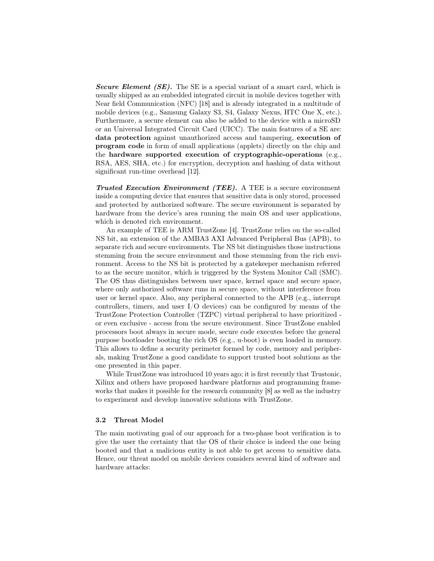Secure Element  $(SE)$ . The SE is a special variant of a smart card, which is usually shipped as an embedded integrated circuit in mobile devices together with Near field Communication (NFC) [\[18\]](#page-12-7) and is already integrated in a multitude of mobile devices (e.g., Samsung Galaxy S3, S4, Galaxy Nexus, HTC One X, etc.). Furthermore, a secure element can also be added to the device with a microSD or an Universal Integrated Circuit Card (UICC). The main features of a SE are: data protection against unauthorized access and tampering, execution of program code in form of small applications (applets) directly on the chip and the hardware supported execution of cryptographic-operations (e.g., RSA, AES, SHA, etc.) for encryption, decryption and hashing of data without significant run-time overhead [\[12\]](#page-12-8).

<span id="page-3-0"></span>Trusted Execution Environment (TEE). A TEE is a secure environment inside a computing device that ensures that sensitive data is only stored, processed and protected by authorized software. The secure environment is separated by hardware from the device's area running the main OS and user applications, which is denoted rich environment.

An example of TEE is ARM TrustZone [\[4\]](#page-11-1). TrustZone relies on the so-called NS bit, an extension of the AMBA3 AXI Advanced Peripheral Bus (APB), to separate rich and secure environments. The NS bit distinguishes those instructions stemming from the secure environment and those stemming from the rich environment. Access to the NS bit is protected by a gatekeeper mechanism referred to as the secure monitor, which is triggered by the System Monitor Call (SMC). The OS thus distinguishes between user space, kernel space and secure space, where only authorized software runs in secure space, without interference from user or kernel space. Also, any peripheral connected to the APB (e.g., interrupt controllers, timers, and user I/O devices) can be configured by means of the TrustZone Protection Controller (TZPC) virtual peripheral to have prioritized or even exclusive - access from the secure environment. Since TrustZone enabled processors boot always in secure mode, secure code executes before the general purpose bootloader booting the rich OS (e.g., u-boot) is even loaded in memory. This allows to define a security perimeter formed by code, memory and peripherals, making TrustZone a good candidate to support trusted boot solutions as the one presented in this paper.

While TrustZone was introduced 10 years ago; it is first recently that Trustonic, Xilinx and others have proposed hardware platforms and programming frameworks that makes it possible for the research community [\[8\]](#page-12-9) as well as the industry to experiment and develop innovative solutions with TrustZone.

#### 3.2 Threat Model

The main motivating goal of our approach for a two-phase boot verification is to give the user the certainty that the OS of their choice is indeed the one being booted and that a malicious entity is not able to get access to sensitive data. Hence, our threat model on mobile devices considers several kind of software and hardware attacks: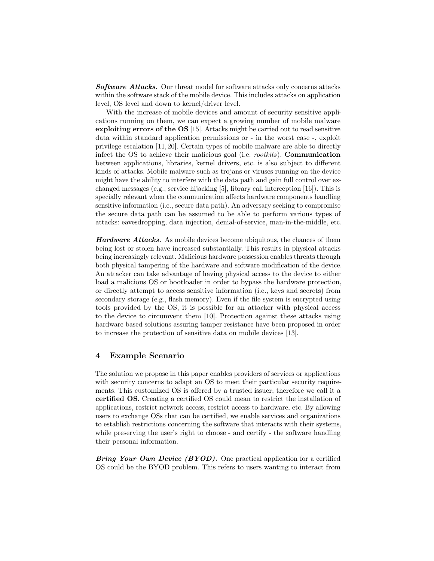**Software Attacks.** Our threat model for software attacks only concerns attacks within the software stack of the mobile device. This includes attacks on application level, OS level and down to kernel/driver level.

With the increase of mobile devices and amount of security sensitive applications running on them, we can expect a growing number of mobile malware exploiting errors of the OS [\[15\]](#page-12-10). Attacks might be carried out to read sensitive data within standard application permissions or - in the worst case -, exploit privilege escalation [\[11,](#page-12-11) [20\]](#page-12-12). Certain types of mobile malware are able to directly infect the OS to achieve their malicious goal (i.e. *rootkits*). **Communication** between applications, libraries, kernel drivers, etc. is also subject to different kinds of attacks. Mobile malware such as trojans or viruses running on the device might have the ability to interfere with the data path and gain full control over exchanged messages (e.g., service hijacking [\[5\]](#page-11-2), library call interception [\[16\]](#page-12-13)). This is specially relevant when the communication affects hardware components handling sensitive information (i.e., secure data path). An adversary seeking to compromise the secure data path can be assumed to be able to perform various types of attacks: eavesdropping, data injection, denial-of-service, man-in-the-middle, etc.

Hardware Attacks. As mobile devices become ubiquitous, the chances of them being lost or stolen have increased substantially. This results in physical attacks being increasingly relevant. Malicious hardware possession enables threats through both physical tampering of the hardware and software modification of the device. An attacker can take advantage of having physical access to the device to either load a malicious OS or bootloader in order to bypass the hardware protection, or directly attempt to access sensitive information (i.e., keys and secrets) from secondary storage (e.g., flash memory). Even if the file system is encrypted using tools provided by the OS, it is possible for an attacker with physical access to the device to circumvent them [\[10\]](#page-12-14). Protection against these attacks using hardware based solutions assuring tamper resistance have been proposed in order to increase the protection of sensitive data on mobile devices [\[13\]](#page-12-15).

## 4 Example Scenario

The solution we propose in this paper enables providers of services or applications with security concerns to adapt an OS to meet their particular security requirements. This customized OS is offered by a trusted issuer; therefore we call it a certified OS. Creating a certified OS could mean to restrict the installation of applications, restrict network access, restrict access to hardware, etc. By allowing users to exchange OSs that can be certified, we enable services and organizations to establish restrictions concerning the software that interacts with their systems, while preserving the user's right to choose - and certify - the software handling their personal information.

Bring Your Own Device (BYOD). One practical application for a certified OS could be the BYOD problem. This refers to users wanting to interact from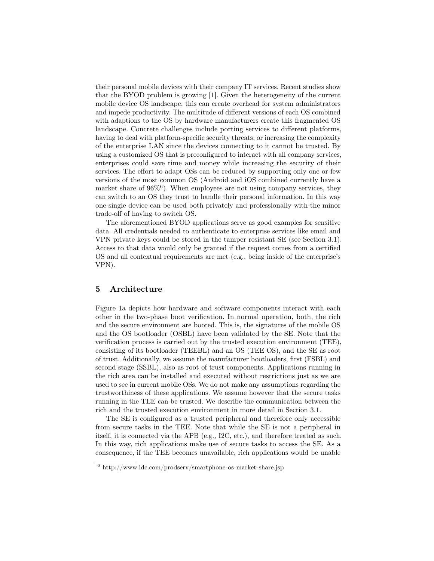their personal mobile devices with their company IT services. Recent studies show that the BYOD problem is growing [\[1\]](#page-11-3). Given the heterogeneity of the current mobile device OS landscape, this can create overhead for system administrators and impede productivity. The multitude of different versions of each OS combined with adaptions to the OS by hardware manufacturers create this fragmented OS landscape. Concrete challenges include porting services to different platforms, having to deal with platform-specific security threats, or increasing the complexity of the enterprise LAN since the devices connecting to it cannot be trusted. By using a customized OS that is preconfigured to interact with all company services, enterprises could save time and money while increasing the security of their services. The effort to adapt OSs can be reduced by supporting only one or few versions of the most common OS (Android and iOS combined currently have a market share of  $96\%$  $96\%$  $96\%$ <sup>6</sup>). When employees are not using company services, they can switch to an OS they trust to handle their personal information. In this way one single device can be used both privately and professionally with the minor trade-off of having to switch OS.

The aforementioned BYOD applications serve as good examples for sensitive data. All credentials needed to authenticate to enterprise services like email and VPN private keys could be stored in the tamper resistant SE (see Section [3.1\)](#page-2-1). Access to that data would only be granted if the request comes from a certified OS and all contextual requirements are met (e.g., being inside of the enterprise's VPN).

## 5 Architecture

Figure [1a](#page-6-0) depicts how hardware and software components interact with each other in the two-phase boot verification. In normal operation, both, the rich and the secure environment are booted. This is, the signatures of the mobile OS and the OS bootloader (OSBL) have been validated by the SE. Note that the verification process is carried out by the trusted execution environment (TEE), consisting of its bootloader (TEEBL) and an OS (TEE OS), and the SE as root of trust. Additionally, we assume the manufacturer bootloaders, first (FSBL) and second stage (SSBL), also as root of trust components. Applications running in the rich area can be installed and executed without restrictions just as we are used to see in current mobile OSs. We do not make any assumptions regarding the trustworthiness of these applications. We assume however that the secure tasks running in the TEE can be trusted. We describe the communication between the rich and the trusted execution environment in more detail in Section [3.1.](#page-3-0)

The SE is configured as a trusted peripheral and therefore only accessible from secure tasks in the TEE. Note that while the SE is not a peripheral in itself, it is connected via the APB (e.g., I2C, etc.), and therefore treated as such. In this way, rich applications make use of secure tasks to access the SE. As a consequence, if the TEE becomes unavailable, rich applications would be unable

<span id="page-5-0"></span><sup>6</sup> <http://www.idc.com/prodserv/smartphone-os-market-share.jsp>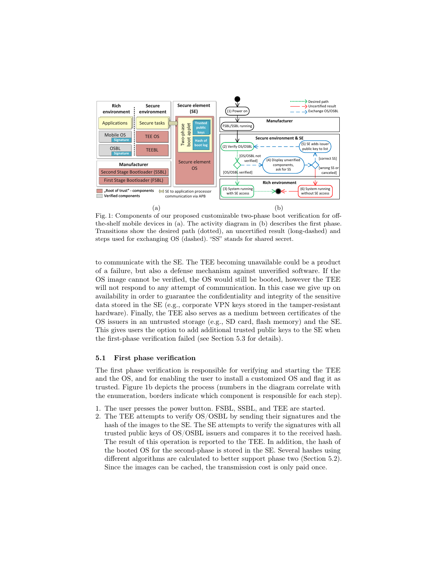<span id="page-6-0"></span>

Fig. 1: Components of our proposed customizable two-phase boot verification for offthe-shelf mobile devices in (a). The activity diagram in (b) describes the first phase. Transitions show the desired path (dotted), an uncertified result (long-dashed) and steps used for exchanging OS (dashed). "SS" stands for shared secret.

to communicate with the SE. The TEE becoming unavailable could be a product of a failure, but also a defense mechanism against unverified software. If the OS image cannot be verified, the OS would still be booted, however the TEE will not respond to any attempt of communication. In this case we give up on availability in order to guarantee the confidentiality and integrity of the sensitive data stored in the SE (e.g., corporate VPN keys stored in the tamper-resistant hardware). Finally, the TEE also serves as a medium between certificates of the OS issuers in an untrusted storage (e.g., SD card, flash memory) and the SE. This gives users the option to add additional trusted public keys to the SE when the first-phase verification failed (see Section [5.3](#page-8-0) for details).

#### 5.1 First phase verification

The first phase verification is responsible for verifying and starting the TEE and the OS, and for enabling the user to install a customized OS and flag it as trusted. Figure [1b](#page-6-0) depicts the process (numbers in the diagram correlate with the enumeration, borders indicate which component is responsible for each step).

- 1. The user presses the power button. FSBL, SSBL, and TEE are started.
- 2. The TEE attempts to verify OS/OSBL by sending their signatures and the hash of the images to the SE. The SE attempts to verify the signatures with all trusted public keys of OS/OSBL issuers and compares it to the received hash. The result of this operation is reported to the TEE. In addition, the hash of the booted OS for the second-phase is stored in the SE. Several hashes using different algorithms are calculated to better support phase two (Section [5.2\)](#page-7-0). Since the images can be cached, the transmission cost is only paid once.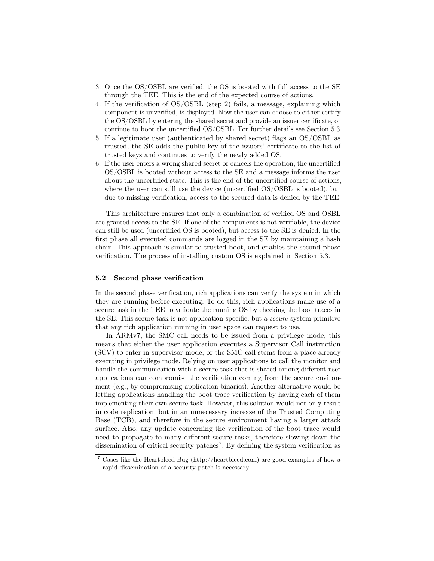- 3. Once the OS/OSBL are verified, the OS is booted with full access to the SE through the TEE. This is the end of the expected course of actions.
- 4. If the verification of OS/OSBL (step 2) fails, a message, explaining which component is unverified, is displayed. Now the user can choose to either certify the OS/OSBL by entering the shared secret and provide an issuer certificate, or continue to boot the uncertified OS/OSBL. For further details see Section [5.3.](#page-8-0)
- 5. If a legitimate user (authenticated by shared secret) flags an OS/OSBL as trusted, the SE adds the public key of the issuers' certificate to the list of trusted keys and continues to verify the newly added OS.
- 6. If the user enters a wrong shared secret or cancels the operation, the uncertified OS/OSBL is booted without access to the SE and a message informs the user about the uncertified state. This is the end of the uncertified course of actions, where the user can still use the device (uncertified OS/OSBL is booted), but due to missing verification, access to the secured data is denied by the TEE.

This architecture ensures that only a combination of verified OS and OSBL are granted access to the SE. If one of the components is not verifiable, the device can still be used (uncertified OS is booted), but access to the SE is denied. In the first phase all executed commands are logged in the SE by maintaining a hash chain. This approach is similar to trusted boot, and enables the second phase verification. The process of installing custom OS is explained in Section [5.3.](#page-8-0)

#### <span id="page-7-0"></span>5.2 Second phase verification

In the second phase verification, rich applications can verify the system in which they are running before executing. To do this, rich applications make use of a secure task in the TEE to validate the running OS by checking the boot traces in the SE. This secure task is not application-specific, but a secure system primitive that any rich application running in user space can request to use.

In ARMv7, the SMC call needs to be issued from a privilege mode; this means that either the user application executes a Supervisor Call instruction (SCV) to enter in supervisor mode, or the SMC call stems from a place already executing in privilege mode. Relying on user applications to call the monitor and handle the communication with a secure task that is shared among different user applications can compromise the verification coming from the secure environment (e.g., by compromising application binaries). Another alternative would be letting applications handling the boot trace verification by having each of them implementing their own secure task. However, this solution would not only result in code replication, but in an unnecessary increase of the Trusted Computing Base (TCB), and therefore in the secure environment having a larger attack surface. Also, any update concerning the verification of the boot trace would need to propagate to many different secure tasks, therefore slowing down the dissemination of critical security patches<sup>[7](#page-7-1)</sup>. By defining the system verification as

<span id="page-7-1"></span> $^7$  Cases like the Heartbleed Bug (http://heartbleed.com) are good examples of how a rapid dissemination of a security patch is necessary.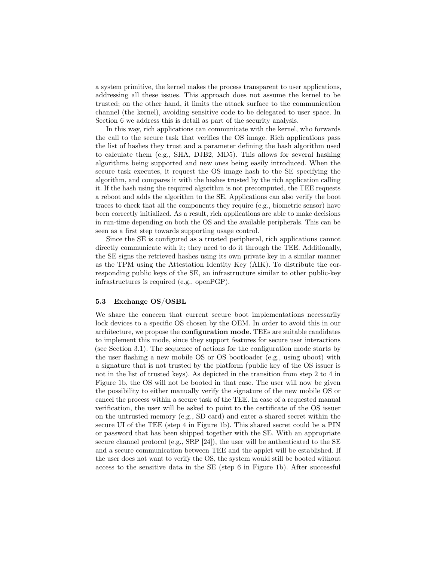a system primitive, the kernel makes the process transparent to user applications, addressing all these issues. This approach does not assume the kernel to be trusted; on the other hand, it limits the attack surface to the communication channel (the kernel), avoiding sensitive code to be delegated to user space. In Section [6](#page-9-0) we address this is detail as part of the security analysis.

In this way, rich applications can communicate with the kernel, who forwards the call to the secure task that verifies the OS image. Rich applications pass the list of hashes they trust and a parameter defining the hash algorithm used to calculate them (e.g., SHA, DJB2, MD5). This allows for several hashing algorithms being supported and new ones being easily introduced. When the secure task executes, it request the OS image hash to the SE specifying the algorithm, and compares it with the hashes trusted by the rich application calling it. If the hash using the required algorithm is not precomputed, the TEE requests a reboot and adds the algorithm to the SE. Applications can also verify the boot traces to check that all the components they require (e.g., biometric sensor) have been correctly initialized. As a result, rich applications are able to make decisions in run-time depending on both the OS and the available peripherals. This can be seen as a first step towards supporting usage control.

Since the SE is configured as a trusted peripheral, rich applications cannot directly communicate with it; they need to do it through the TEE. Additionally, the SE signs the retrieved hashes using its own private key in a similar manner as the TPM using the Attestation Identity Key (AIK). To distribute the corresponding public keys of the SE, an infrastructure similar to other public-key infrastructures is required (e.g., openPGP).

#### <span id="page-8-0"></span>5.3 Exchange OS/OSBL

We share the concern that current secure boot implementations necessarily lock devices to a specific OS chosen by the OEM. In order to avoid this in our architecture, we propose the configuration mode. TEEs are suitable candidates to implement this mode, since they support features for secure user interactions (see Section [3.1\)](#page-3-0). The sequence of actions for the configuration mode starts by the user flashing a new mobile OS or OS bootloader (e.g., using uboot) with a signature that is not trusted by the platform (public key of the OS issuer is not in the list of trusted keys). As depicted in the transition from step 2 to 4 in Figure [1b,](#page-6-0) the OS will not be booted in that case. The user will now be given the possibility to either manually verify the signature of the new mobile OS or cancel the process within a secure task of the TEE. In case of a requested manual verification, the user will be asked to point to the certificate of the OS issuer on the untrusted memory (e.g., SD card) and enter a shared secret within the secure UI of the TEE (step 4 in Figure [1b\)](#page-6-0). This shared secret could be a PIN or password that has been shipped together with the SE. With an appropriate secure channel protocol (e.g., SRP [\[24\]](#page-12-16)), the user will be authenticated to the SE and a secure communication between TEE and the applet will be established. If the user does not want to verify the OS, the system would still be booted without access to the sensitive data in the SE (step 6 in Figure [1b\)](#page-6-0). After successful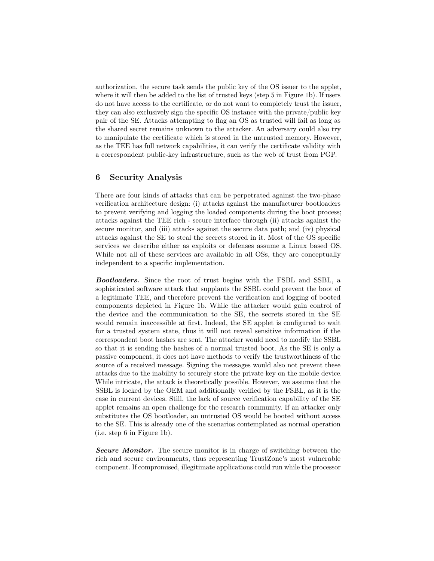authorization, the secure task sends the public key of the OS issuer to the applet, where it will then be added to the list of trusted keys (step 5 in Figure [1b\)](#page-6-0). If users do not have access to the certificate, or do not want to completely trust the issuer, they can also exclusively sign the specific OS instance with the private/public key pair of the SE. Attacks attempting to flag an OS as trusted will fail as long as the shared secret remains unknown to the attacker. An adversary could also try to manipulate the certificate which is stored in the untrusted memory. However, as the TEE has full network capabilities, it can verify the certificate validity with a correspondent public-key infrastructure, such as the web of trust from PGP.

## <span id="page-9-0"></span>6 Security Analysis

There are four kinds of attacks that can be perpetrated against the two-phase verification architecture design: (i) attacks against the manufacturer bootloaders to prevent verifying and logging the loaded components during the boot process; attacks against the TEE rich - secure interface through (ii) attacks against the secure monitor, and (iii) attacks against the secure data path; and (iv) physical attacks against the SE to steal the secrets stored in it. Most of the OS specific services we describe either as exploits or defenses assume a Linux based OS. While not all of these services are available in all OSs, they are conceptually independent to a specific implementation.

Bootloaders. Since the root of trust begins with the FSBL and SSBL, a sophisticated software attack that supplants the SSBL could prevent the boot of a legitimate TEE, and therefore prevent the verification and logging of booted components depicted in Figure [1b.](#page-6-0) While the attacker would gain control of the device and the communication to the SE, the secrets stored in the SE would remain inaccessible at first. Indeed, the SE applet is configured to wait for a trusted system state, thus it will not reveal sensitive information if the correspondent boot hashes are sent. The attacker would need to modify the SSBL so that it is sending the hashes of a normal trusted boot. As the SE is only a passive component, it does not have methods to verify the trustworthiness of the source of a received message. Signing the messages would also not prevent these attacks due to the inability to securely store the private key on the mobile device. While intricate, the attack is theoretically possible. However, we assume that the SSBL is locked by the OEM and additionally verified by the FSBL, as it is the case in current devices. Still, the lack of source verification capability of the SE applet remains an open challenge for the research community. If an attacker only substitutes the OS bootloader, an untrusted OS would be booted without access to the SE. This is already one of the scenarios contemplated as normal operation (i.e. step 6 in Figure [1b\)](#page-6-0).

Secure Monitor. The secure monitor is in charge of switching between the rich and secure environments, thus representing TrustZone's most vulnerable component. If compromised, illegitimate applications could run while the processor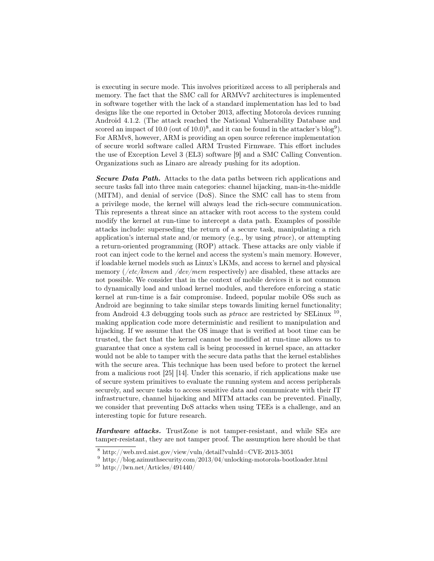is executing in secure mode. This involves prioritized access to all peripherals and memory. The fact that the SMC call for ARMVv7 architectures is implemented in software together with the lack of a standard implementation has led to bad designs like the one reported in October 2013, affecting Motorola devices running Android 4.1.2. (The attack reached the National Vulnerability Database and scored an impact of 10.0 (out of 10.0)<sup>[8](#page-10-0)</sup>, and it can be found in the attacker's blog<sup>[9](#page-10-1)</sup>). For ARMv8, however, ARM is providing an open source reference implementation of secure world software called ARM Trusted Firmware. This effort includes the use of Exception Level 3 (EL3) software [\[9\]](#page-12-17) and a SMC Calling Convention. Organizations such as Linaro are already pushing for its adoption.

Secure Data Path. Attacks to the data paths between rich applications and secure tasks fall into three main categories: channel hijacking, man-in-the-middle (MITM), and denial of service (DoS). Since the SMC call has to stem from a privilege mode, the kernel will always lead the rich-secure communication. This represents a threat since an attacker with root access to the system could modify the kernel at run-time to intercept a data path. Examples of possible attacks include: superseding the return of a secure task, manipulating a rich application's internal state and/or memory (e.g., by using ptrace), or attempting a return-oriented programming (ROP) attack. These attacks are only viable if root can inject code to the kernel and access the system's main memory. However, if loadable kernel models such as Linux's LKMs, and access to kernel and physical memory (/ $etc/kmem$  and / $dev/mem$  respectively) are disabled, these attacks are not possible. We consider that in the context of mobile devices it is not common to dynamically load and unload kernel modules, and therefore enforcing a static kernel at run-time is a fair compromise. Indeed, popular mobile OSs such as Android are beginning to take similar steps towards limiting kernel functionality; from Android 4.3 debugging tools such as *ptrace* are restricted by SELinux  $10$ , making application code more deterministic and resilient to manipulation and hijacking. If we assume that the OS image that is verified at boot time can be trusted, the fact that the kernel cannot be modified at run-time allows us to guarantee that once a system call is being processed in kernel space, an attacker would not be able to tamper with the secure data paths that the kernel establishes with the secure area. This technique has been used before to protect the kernel from a malicious root [\[25\]](#page-12-18) [\[14\]](#page-12-19). Under this scenario, if rich applications make use of secure system primitives to evaluate the running system and access peripherals securely, and secure tasks to access sensitive data and communicate with their IT infrastructure, channel hijacking and MITM attacks can be prevented. Finally, we consider that preventing DoS attacks when using TEEs is a challenge, and an interesting topic for future research.

Hardware attacks. TrustZone is not tamper-resistant, and while SEs are tamper-resistant, they are not tamper proof. The assumption here should be that

<span id="page-10-0"></span> $^8$ <http://web.nvd.nist.gov/view/vuln/detail?vulnId=CVE-2013-3051>

<span id="page-10-1"></span> $^9$ <http://blog.azimuthsecurity.com/2013/04/unlocking-motorola-bootloader.html>

<span id="page-10-2"></span><sup>10</sup> <http://lwn.net/Articles/491440/>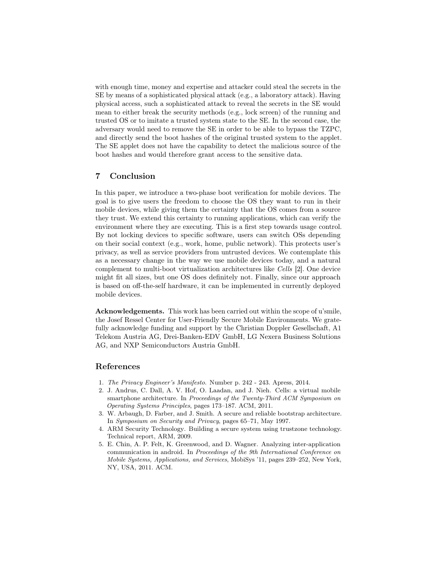with enough time, money and expertise and attacker could steal the secrets in the SE by means of a sophisticated physical attack (e.g., a laboratory attack). Having physical access, such a sophisticated attack to reveal the secrets in the SE would mean to either break the security methods (e.g., lock screen) of the running and trusted OS or to imitate a trusted system state to the SE. In the second case, the adversary would need to remove the SE in order to be able to bypass the TZPC, and directly send the boot hashes of the original trusted system to the applet. The SE applet does not have the capability to detect the malicious source of the boot hashes and would therefore grant access to the sensitive data.

# 7 Conclusion

In this paper, we introduce a two-phase boot verification for mobile devices. The goal is to give users the freedom to choose the OS they want to run in their mobile devices, while giving them the certainty that the OS comes from a source they trust. We extend this certainty to running applications, which can verify the environment where they are executing. This is a first step towards usage control. By not locking devices to specific software, users can switch OSs depending on their social context (e.g., work, home, public network). This protects user's privacy, as well as service providers from untrusted devices. We contemplate this as a necessary change in the way we use mobile devices today, and a natural complement to multi-boot virtualization architectures like Cells [\[2\]](#page-11-4). One device might fit all sizes, but one OS does definitely not. Finally, since our approach is based on off-the-self hardware, it can be implemented in currently deployed mobile devices.

Acknowledgements. This work has been carried out within the scope of u'smile, the Josef Ressel Center for User-Friendly Secure Mobile Environments. We gratefully acknowledge funding and support by the Christian Doppler Gesellschaft, A1 Telekom Austria AG, Drei-Banken-EDV GmbH, LG Nexera Business Solutions AG, and NXP Semiconductors Austria GmbH.

## References

- <span id="page-11-3"></span>1. The Privacy Engineer's Manifesto. Number p. 242 - 243. Apress, 2014.
- <span id="page-11-4"></span>2. J. Andrus, C. Dall, A. V. Hof, O. Laadan, and J. Nieh. Cells: a virtual mobile smartphone architecture. In Proceedings of the Twenty-Third ACM Symposium on Operating Systems Principles, pages 173–187. ACM, 2011.
- <span id="page-11-0"></span>3. W. Arbaugh, D. Farber, and J. Smith. A secure and reliable bootstrap architecture. In Symposium on Security and Privacy, pages 65–71, May 1997.
- <span id="page-11-1"></span>4. ARM Security Technology. Building a secure system using trustzone technology. Technical report, ARM, 2009.
- <span id="page-11-2"></span>5. E. Chin, A. P. Felt, K. Greenwood, and D. Wagner. Analyzing inter-application communication in android. In Proceedings of the 9th International Conference on Mobile Systems, Applications, and Services, MobiSys '11, pages 239–252, New York, NY, USA, 2011. ACM.